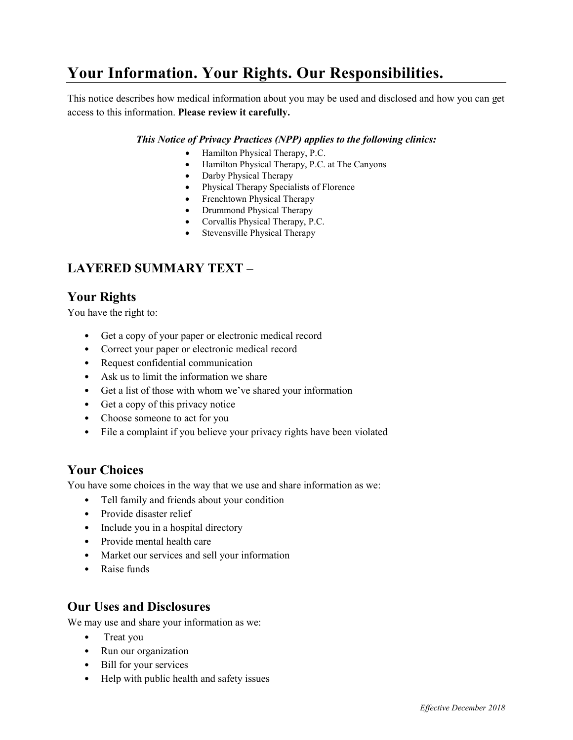# **Your Information. Your Rights. Our Responsibilities.**

This notice describes how medical information about you may be used and disclosed and how you can get access to this information. **Please review it carefully.**

### *This Notice of Privacy Practices (NPP) applies to the following clinics:*

- Hamilton Physical Therapy, P.C.
- Hamilton Physical Therapy, P.C. at The Canyons
- Darby Physical Therapy
- Physical Therapy Specialists of Florence
- Frenchtown Physical Therapy
- Drummond Physical Therapy
- Corvallis Physical Therapy, P.C.
- Stevensville Physical Therapy

# **LAYERED SUMMARY TEXT –**

# **Your Rights**

You have the right to:

- Get a copy of your paper or electronic medical record
- Correct your paper or electronic medical record
- Request confidential communication
- Ask us to limit the information we share
- Get a list of those with whom we've shared your information
- Get a copy of this privacy notice
- Choose someone to act for you
- File a complaint if you believe your privacy rights have been violated

# **Your Choices**

You have some choices in the way that we use and share information as we:

- Tell family and friends about your condition
- Provide disaster relief
- Include you in a hospital directory
- Provide mental health care
- Market our services and sell your information
- Raise funds

### **Our Uses and Disclosures**

We may use and share your information as we:

- Treat you
- Run our organization
- Bill for your services
- Help with public health and safety issues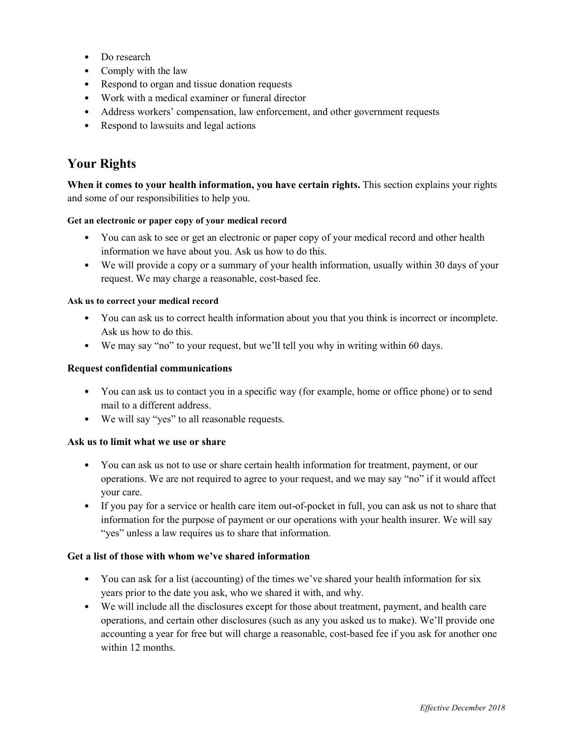- Do research
- Comply with the law
- Respond to organ and tissue donation requests
- Work with a medical examiner or funeral director
- Address workers' compensation, law enforcement, and other government requests
- Respond to lawsuits and legal actions

# **Your Rights**

**When it comes to your health information, you have certain rights.** This section explains your rights and some of our responsibilities to help you.

### **Get an electronic or paper copy of your medical record**

- You can ask to see or get an electronic or paper copy of your medical record and other health information we have about you. Ask us how to do this.
- We will provide a copy or a summary of your health information, usually within 30 days of your request. We may charge a reasonable, cost-based fee.

### **Ask us to correct your medical record**

- You can ask us to correct health information about you that you think is incorrect or incomplete. Ask us how to do this.
- We may say "no" to your request, but we'll tell you why in writing within 60 days.

### **Request confidential communications**

- You can ask us to contact you in a specific way (for example, home or office phone) or to send mail to a different address.
- We will say "yes" to all reasonable requests.

### **Ask us to limit what we use or share**

- You can ask us not to use or share certain health information for treatment, payment, or our operations. We are not required to agree to your request, and we may say "no" if it would affect your care.
- If you pay for a service or health care item out-of-pocket in full, you can ask us not to share that information for the purpose of payment or our operations with your health insurer. We will say "yes" unless a law requires us to share that information.

#### **Get a list of those with whom we've shared information**

- You can ask for a list (accounting) of the times we've shared your health information for six years prior to the date you ask, who we shared it with, and why.
- We will include all the disclosures except for those about treatment, payment, and health care operations, and certain other disclosures (such as any you asked us to make). We'll provide one accounting a year for free but will charge a reasonable, cost-based fee if you ask for another one within 12 months.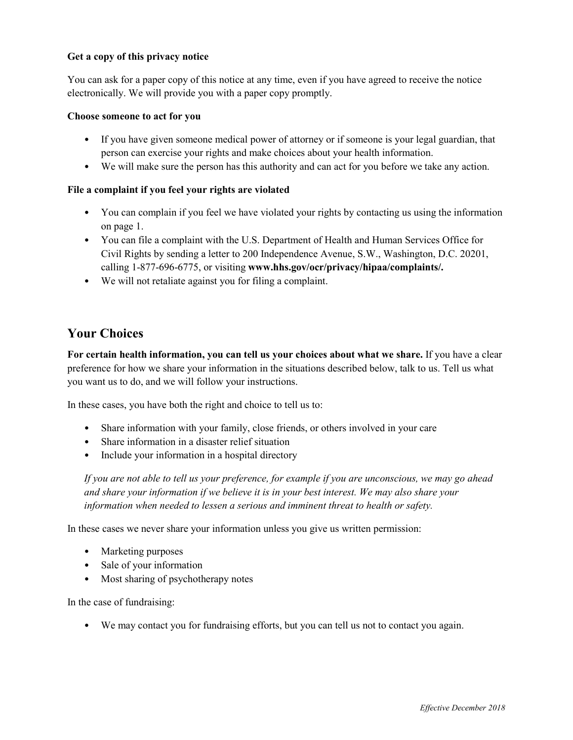### **Get a copy of this privacy notice**

You can ask for a paper copy of this notice at any time, even if you have agreed to receive the notice electronically. We will provide you with a paper copy promptly.

### **Choose someone to act for you**

- If you have given someone medical power of attorney or if someone is your legal guardian, that person can exercise your rights and make choices about your health information.
- We will make sure the person has this authority and can act for you before we take any action.

### **File a complaint if you feel your rights are violated**

- You can complain if you feel we have violated your rights by contacting us using the information on page 1.
- You can file a complaint with the U.S. Department of Health and Human Services Office for Civil Rights by sending a letter to 200 Independence Avenue, S.W., Washington, D.C. 20201, calling 1-877-696-6775, or visiting **www.hhs.gov/ocr/privacy/hipaa/complaints/.**
- We will not retaliate against you for filing a complaint.

# **Your Choices**

**For certain health information, you can tell us your choices about what we share.** If you have a clear preference for how we share your information in the situations described below, talk to us. Tell us what you want us to do, and we will follow your instructions.

In these cases, you have both the right and choice to tell us to:

- Share information with your family, close friends, or others involved in your care
- Share information in a disaster relief situation
- Include your information in a hospital directory

*If you are not able to tell us your preference, for example if you are unconscious, we may go ahead and share your information if we believe it is in your best interest. We may also share your information when needed to lessen a serious and imminent threat to health or safety.*

In these cases we never share your information unless you give us written permission:

- Marketing purposes
- Sale of your information
- Most sharing of psychotherapy notes

In the case of fundraising:

• We may contact you for fundraising efforts, but you can tell us not to contact you again.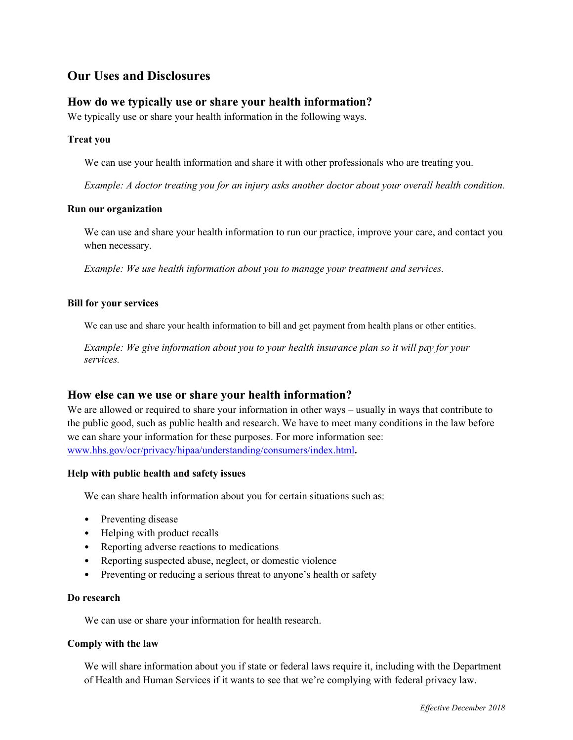# **Our Uses and Disclosures**

### **How do we typically use or share your health information?**

We typically use or share your health information in the following ways.

### **Treat you**

We can use your health information and share it with other professionals who are treating you.

*Example: A doctor treating you for an injury asks another doctor about your overall health condition.*

#### **Run our organization**

We can use and share your health information to run our practice, improve your care, and contact you when necessary.

*Example: We use health information about you to manage your treatment and services.* 

### **Bill for your services**

We can use and share your health information to bill and get payment from health plans or other entities.

*Example: We give information about you to your health insurance plan so it will pay for your services.* 

### **How else can we use or share your health information?**

We are allowed or required to share your information in other ways – usually in ways that contribute to the public good, such as public health and research. We have to meet many conditions in the law before we can share your information for these purposes. For more information see: www.hhs.gov/ocr/privacy/hipaa/understanding/consumers/index.html**.**

#### **Help with public health and safety issues**

We can share health information about you for certain situations such as:

- Preventing disease
- Helping with product recalls
- Reporting adverse reactions to medications
- Reporting suspected abuse, neglect, or domestic violence
- Preventing or reducing a serious threat to anyone's health or safety

### **Do research**

We can use or share your information for health research.

#### **Comply with the law**

We will share information about you if state or federal laws require it, including with the Department of Health and Human Services if it wants to see that we're complying with federal privacy law.